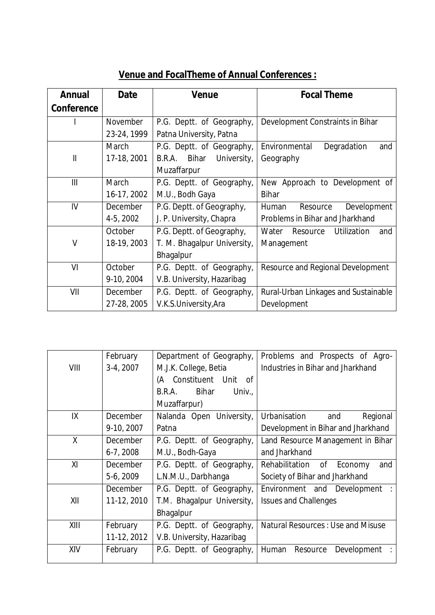## **Venue and FocalTheme of Annual Conferences :**

| <b>Annual</b> | <b>Date</b>     | Venue                       | <b>Focal Theme</b>                      |
|---------------|-----------------|-----------------------------|-----------------------------------------|
| Conference    |                 |                             |                                         |
|               | <b>November</b> | P.G. Deptt. of Geography,   | Development Constraints in Bihar        |
|               | 23-24, 1999     | Patna University, Patna     |                                         |
|               | March           | P.G. Deptt. of Geography,   | Degradation<br>Environmental<br>and     |
| $\mathsf{II}$ | 17-18, 2001     | University,<br>B.R.A. Bihar | Geography                               |
|               |                 | Muzaffarpur                 |                                         |
| III           | March           | P.G. Deptt. of Geography,   | New Approach to Development of          |
|               | 16-17, 2002     | M.U., Bodh Gaya             | <b>Bihar</b>                            |
| IV            | December        | P.G. Deptt. of Geography,   | Development<br>Human<br>Resource        |
|               | 4-5, 2002       | J. P. University, Chapra    | Problems in Bihar and Jharkhand         |
|               | October         | P.G. Deptt. of Geography,   | Water<br>Utilization<br>Resource<br>and |
| V             | 18-19, 2003     | T. M. Bhagalpur University, | Management                              |
|               |                 | Bhagalpur                   |                                         |
| VI            | October         | P.G. Deptt. of Geography,   | Resource and Regional Development       |
|               | 9-10, 2004      | V.B. University, Hazaribag  |                                         |
| VII           | <b>December</b> | P.G. Deptt. of Geography,   | Rural-Urban Linkages and Sustainable    |
|               | 27-28, 2005     | V.K.S.University, Ara       | Development                             |

|      | February        | Department of Geography,         | Problems and Prospects of Agro-          |
|------|-----------------|----------------------------------|------------------------------------------|
| VIII | 3-4, 2007       | M.J.K. College, Betia            | Industries in Bihar and Jharkhand        |
|      |                 | Constituent Unit<br>(A<br>0f     |                                          |
|      |                 | <b>Bihar</b><br>Univ.,<br>B.R.A. |                                          |
|      |                 | Muzaffarpur)                     |                                          |
| IX   | <b>December</b> | Nalanda Open University,         | Urbanisation<br>Regional<br>and          |
|      | 9-10, 2007      | Patna                            | Development in Bihar and Jharkhand       |
| X    | <b>December</b> | P.G. Deptt. of Geography,        | Land Resource Management in Bihar        |
|      | $6-7, 2008$     | M.U., Bodh-Gaya                  | and Jharkhand                            |
| XI   | <b>December</b> | P.G. Deptt. of Geography,        | Rehabilitation<br>of<br>Economy<br>and   |
|      | 5-6, 2009       | L.N.M.U., Darbhanga              | Society of Bihar and Jharkhand           |
|      | December        | P.G. Deptt. of Geography,        | Environment and<br>Development           |
| XII  | 11-12, 2010     | T.M. Bhagalpur University,       | <b>Issues and Challenges</b>             |
|      |                 | Bhagalpur                        |                                          |
| XIII | February        | P.G. Deptt. of Geography,        | <b>Natural Resources: Use and Misuse</b> |
|      | 11-12, 2012     | V.B. University, Hazaribag       |                                          |
| XIV  | February        | P.G. Deptt. of Geography,        | Human<br>Resource<br>Development         |
|      |                 |                                  |                                          |